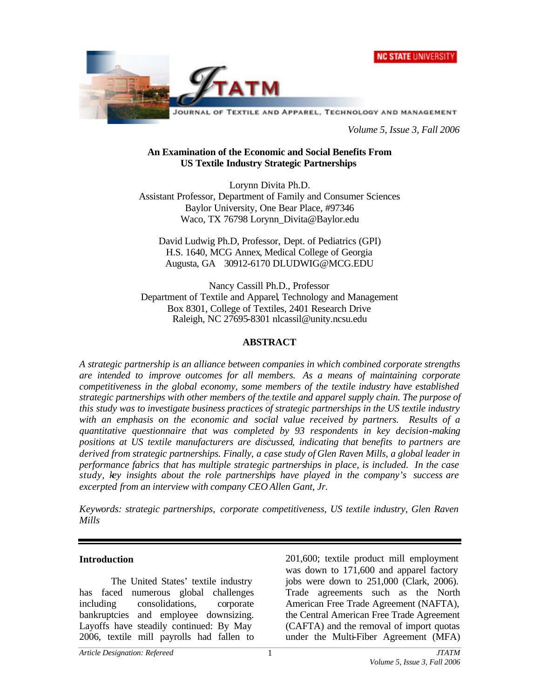



*Volume 5, Issue 3, Fall 2006*

#### **An Examination of the Economic and Social Benefits From US Textile Industry Strategic Partnerships**

Lorynn Divita Ph.D. Assistant Professor, Department of Family and Consumer Sciences Baylor University, One Bear Place, #97346 Waco, TX 76798 Lorynn\_Divita@Baylor.edu

David Ludwig Ph.D, Professor, Dept. of Pediatrics (GPI) H.S. 1640, MCG Annex, Medical College of Georgia Augusta, GA 30912-6170 DLUDWIG@MCG.EDU

Nancy Cassill Ph.D., Professor Department of Textile and Apparel, Technology and Management Box 8301, College of Textiles, 2401 Research Drive Raleigh, NC 27695-8301 nlcassil@unity.ncsu.edu

### **ABSTRACT**

*A strategic partnership is an alliance between companies in which combined corporate strengths are intended to improve outcomes for all members. As a means of maintaining corporate competitiveness in the global economy, some members of the textile industry have established strategic partnerships with other members of the textile and apparel supply chain. The purpose of this study was to investigate business practices of strategic partnerships in the US textile industry with an emphasis on the economic and social value received by partners. Results of a quantitative questionnaire that was completed by 93 respondents in key decision-making positions at US textile manufacturers are discussed, indicating that benefits to partners are derived from strategic partnerships. Finally, a case study of Glen Raven Mills, a global leader in performance fabrics that has multiple strategic partnerships in place, is included. In the case study, key insights about the role partnerships have played in the company's success are excerpted from an interview with company CEO Allen Gant, Jr.* 

*Keywords: strategic partnerships, corporate competitiveness, US textile industry, Glen Raven Mills*

#### **Introduction**

The United States' textile industry has faced numerous global challenges including consolidations, corporate bankruptcies and employee downsizing. Layoffs have steadily continued: By May 2006, textile mill payrolls had fallen to

201,600; textile product mill employment was down to 171,600 and apparel factory jobs were down to 251,000 (Clark, 2006). Trade agreements such as the North American Free Trade Agreement (NAFTA), the Central American Free Trade Agreement (CAFTA) and the removal of import quotas under the Multi-Fiber Agreement (MFA)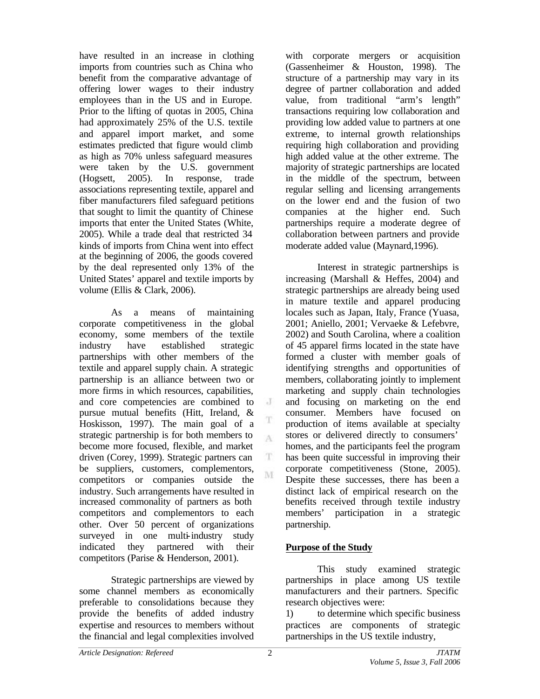have resulted in an increase in clothing imports from countries such as China who benefit from the comparative advantage of offering lower wages to their industry employees than in the US and in Europe. Prior to the lifting of quotas in 2005, China had approximately 25% of the U.S. textile and apparel import market, and some estimates predicted that figure would climb as high as 70% unless safeguard measures were taken by the U.S. government (Hogsett, 2005). In response, trade associations representing textile, apparel and fiber manufacturers filed safeguard petitions that sought to limit the quantity of Chinese imports that enter the United States (White, 2005). While a trade deal that restricted 34 kinds of imports from China went into effect at the beginning of 2006, the goods covered by the deal represented only 13% of the United States' apparel and textile imports by volume (Ellis & Clark, 2006).

As a means of maintaining corporate competitiveness in the global economy, some members of the textile industry have established strategic partnerships with other members of the textile and apparel supply chain. A strategic partnership is an alliance between two or more firms in which resources, capabilities, and core competencies are combined to pursue mutual benefits (Hitt, Ireland, & Hoskisson, 1997). The main goal of a strategic partnership is for both members to become more focused, flexible, and market driven (Corey, 1999). Strategic partners can be suppliers, customers, complementors, competitors or companies outside the industry. Such arrangements have resulted in increased commonality of partners as both competitors and complementors to each other. Over 50 percent of organizations surveyed in one multi-industry study indicated they partnered with their competitors (Parise & Henderson, 2001).

Strategic partnerships are viewed by some channel members as economically preferable to consolidations because they provide the benefits of added industry expertise and resources to members without the financial and legal complexities involved

with corporate mergers or acquisition (Gassenheimer & Houston, 1998). The structure of a partnership may vary in its degree of partner collaboration and added value, from traditional "arm's length" transactions requiring low collaboration and providing low added value to partners at one extreme, to internal growth relationships requiring high collaboration and providing high added value at the other extreme. The majority of strategic partnerships are located in the middle of the spectrum, between regular selling and licensing arrangements on the lower end and the fusion of two companies at the higher end. Such partnerships require a moderate degree of collaboration between partners and provide moderate added value (Maynard,1996).

Interest in strategic partnerships is increasing (Marshall & Heffes, 2004) and strategic partnerships are already being used in mature textile and apparel producing locales such as Japan, Italy, France (Yuasa, 2001; Aniello, 2001; Vervaeke & Lefebvre, 2002) and South Carolina, where a coalition of 45 apparel firms located in the state have formed a cluster with member goals of identifying strengths and opportunities of members, collaborating jointly to implement marketing and supply chain technologies and focusing on marketing on the end consumer. Members have focused on production of items available at specialty stores or delivered directly to consumers' homes, and the participants feel the program has been quite successful in improving their corporate competitiveness (Stone, 2005). Despite these successes, there has been a distinct lack of empirical research on the benefits received through textile industry members' participation in a strategic partnership.

### **Purpose of the Study**

This study examined strategic partnerships in place among US textile manufacturers and their partners. Specific research objectives were:

1) to determine which specific business practices are components of strategic partnerships in the US textile industry,

 $\cdot$  J

T A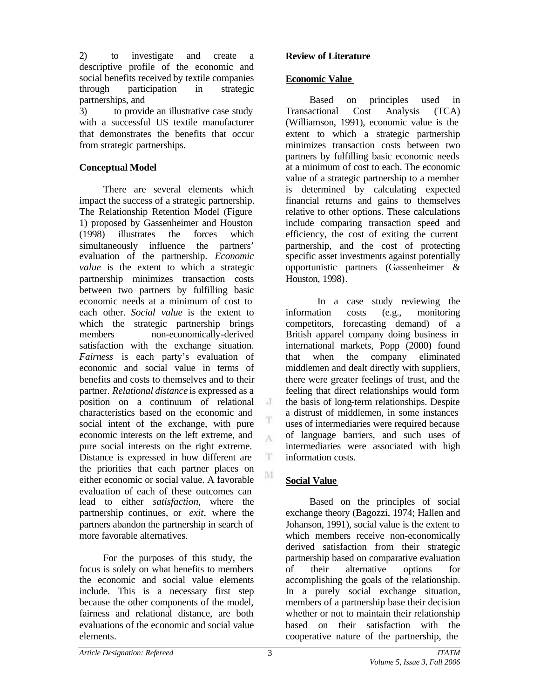2) to investigate and create a descriptive profile of the economic and social benefits received by textile companies through participation in strategic partnerships, and

3) to provide an illustrative case study with a successful US textile manufacturer that demonstrates the benefits that occur from strategic partnerships.

## **Conceptual Model**

There are several elements which impact the success of a strategic partnership. The Relationship Retention Model (Figure 1) proposed by Gassenheimer and Houston (1998) illustrates the forces which simultaneously influence the partners' evaluation of the partnership. *Economic value* is the extent to which a strategic partnership minimizes transaction costs between two partners by fulfilling basic economic needs at a minimum of cost to each other. *Social value* is the extent to which the strategic partnership brings members non-economically-derived satisfaction with the exchange situation. *Fairness* is each party's evaluation of economic and social value in terms of benefits and costs to themselves and to their partner. *Relational distance* is expressed as a position on a continuum of relational characteristics based on the economic and social intent of the exchange, with pure economic interests on the left extreme, and pure social interests on the right extreme. Distance is expressed in how different are the priorities that each partner places on either economic or social value. A favorable evaluation of each of these outcomes can lead to either *satisfaction*, where the partnership continues, or *exit*, where the partners abandon the partnership in search of more favorable alternatives.

For the purposes of this study, the focus is solely on what benefits to members the economic and social value elements include. This is a necessary first step because the other components of the model, fairness and relational distance, are both evaluations of the economic and social value elements.

#### **Review of Literature**

#### **Economic Value**

Based on principles used in Transactional Cost Analysis (TCA) (Williamson, 1991), economic value is the extent to which a strategic partnership minimizes transaction costs between two partners by fulfilling basic economic needs at a minimum of cost to each. The economic value of a strategic partnership to a member is determined by calculating expected financial returns and gains to themselves relative to other options. These calculations include comparing transaction speed and efficiency, the cost of exiting the current partnership, and the cost of protecting specific asset investments against potentially opportunistic partners (Gassenheimer & Houston, 1998).

In a case study reviewing the information costs (e.g., monitoring competitors, forecasting demand) of a British apparel company doing business in international markets, Popp (2000) found that when the company eliminated middlemen and dealt directly with suppliers, there were greater feelings of trust, and the feeling that direct relationships would form the basis of long-term relationships. Despite a distrust of middlemen, in some instances uses of intermediaries were required because of language barriers, and such uses of intermediaries were associated with high information costs.

# **Social Value**

Based on the principles of social exchange theory (Bagozzi, 1974; Hallen and Johanson, 1991), social value is the extent to which members receive non-economically derived satisfaction from their strategic partnership based on comparative evaluation of their alternative options for accomplishing the goals of the relationship. In a purely social exchange situation, members of a partnership base their decision whether or not to maintain their relationship based on their satisfaction with the cooperative nature of the partnership, the

 $\cdot$ T

T A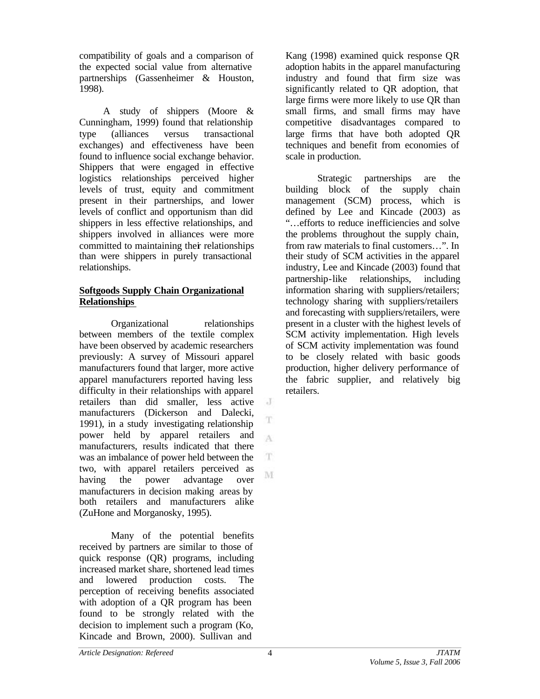compatibility of goals and a comparison of the expected social value from alternative partnerships (Gassenheimer & Houston, 1998).

A study of shippers (Moore & Cunningham, 1999) found that relationship type (alliances versus transactional exchanges) and effectiveness have been found to influence social exchange behavior. Shippers that were engaged in effective logistics relationships perceived higher levels of trust, equity and commitment present in their partnerships, and lower levels of conflict and opportunism than did shippers in less effective relationships, and shippers involved in alliances were more committed to maintaining their relationships than were shippers in purely transactional relationships.

### **Softgoods Supply Chain Organizational Relationships**

Organizational relationships between members of the textile complex have been observed by academic researchers previously: A survey of Missouri apparel manufacturers found that larger, more active apparel manufacturers reported having less difficulty in their relationships with apparel retailers than did smaller, less active manufacturers (Dickerson and Dalecki, 1991), in a study investigating relationship power held by apparel retailers and manufacturers, results indicated that there was an imbalance of power held between the two, with apparel retailers perceived as having the power advantage over manufacturers in decision making areas by both retailers and manufacturers alike (ZuHone and Morganosky, 1995).

Many of the potential benefits received by partners are similar to those of quick response (QR) programs, including increased market share, shortened lead times and lowered production costs. The perception of receiving benefits associated with adoption of a QR program has been found to be strongly related with the decision to implement such a program (Ko, Kincade and Brown, 2000). Sullivan and

Kang (1998) examined quick response QR adoption habits in the apparel manufacturing industry and found that firm size was significantly related to QR adoption, that large firms were more likely to use QR than small firms, and small firms may have competitive disadvantages compared to large firms that have both adopted QR techniques and benefit from economies of scale in production.

Strategic partnerships are the building block of the supply chain management (SCM) process, which is defined by Lee and Kincade (2003) as "…efforts to reduce inefficiencies and solve the problems throughout the supply chain, from raw materials to final customers…". In their study of SCM activities in the apparel industry, Lee and Kincade (2003) found that partnership-like relationships, including information sharing with suppliers/retailers; technology sharing with suppliers/retailers and forecasting with suppliers/retailers, were present in a cluster with the highest levels of SCM activity implementation. High levels of SCM activity implementation was found to be closely related with basic goods production, higher delivery performance of the fabric supplier, and relatively big retailers.

 $\cdot$  J

T

A

T M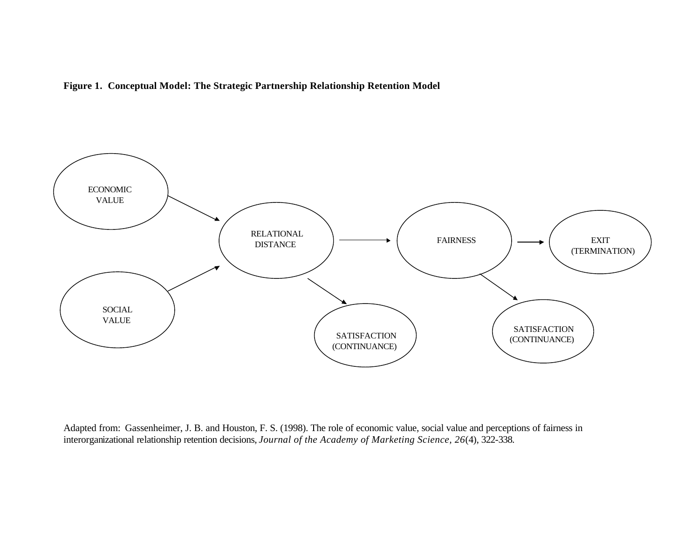



Adapted from: Gassenheimer, J. B. and Houston, F. S. (1998). The role of economic value, social value and perceptions of fairness in interorganizational relationship retention decisions, *Journal of the Academy of Marketing Science, 26*(4), 322-338.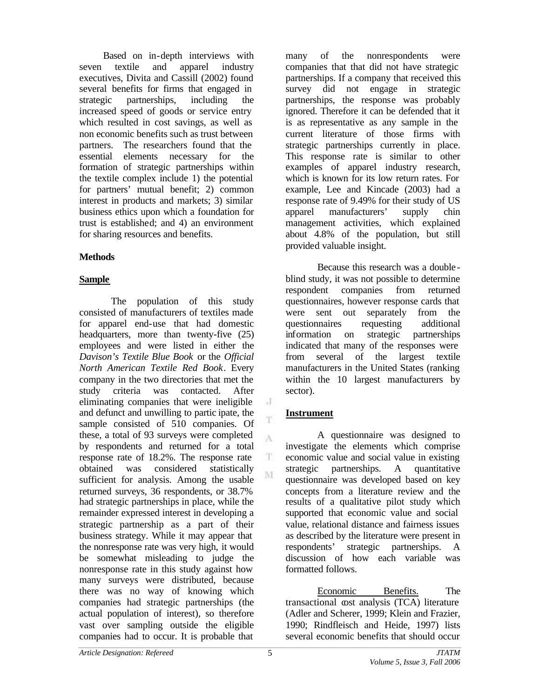Based on in-depth interviews with seven textile and apparel industry executives, Divita and Cassill (2002) found several benefits for firms that engaged in strategic partnerships, including the increased speed of goods or service entry which resulted in cost savings, as well as non economic benefits such as trust between partners. The researchers found that the essential elements necessary for the formation of strategic partnerships within the textile complex include 1) the potential for partners' mutual benefit; 2) common interest in products and markets; 3) similar business ethics upon which a foundation for trust is established; and 4) an environment for sharing resources and benefits.

## **Methods**

## **Sample**

The population of this study consisted of manufacturers of textiles made for apparel end-use that had domestic headquarters, more than twenty-five (25) employees and were listed in either the *Davison's Textile Blue Book* or the *Official North American Textile Red Book*. Every company in the two directories that met the study criteria was contacted. After eliminating companies that were ineligible and defunct and unwilling to partic ipate, the sample consisted of 510 companies. Of these, a total of 93 surveys were completed by respondents and returned for a total response rate of 18.2%. The response rate obtained was considered statistically sufficient for analysis. Among the usable returned surveys, 36 respondents, or 38.7% had strategic partnerships in place, while the remainder expressed interest in developing a strategic partnership as a part of their business strategy. While it may appear that the nonresponse rate was very high, it would be somewhat misleading to judge the nonresponse rate in this study against how many surveys were distributed, because there was no way of knowing which companies had strategic partnerships (the actual population of interest), so therefore vast over sampling outside the eligible companies had to occur. It is probable that

many of the nonrespondents were companies that that did not have strategic partnerships. If a company that received this survey did not engage in strategic partnerships, the response was probably ignored. Therefore it can be defended that it is as representative as any sample in the current literature of those firms with strategic partnerships currently in place. This response rate is similar to other examples of apparel industry research, which is known for its low return rates. For example, Lee and Kincade (2003) had a response rate of 9.49% for their study of US apparel manufacturers' supply chin management activities, which explained about 4.8% of the population, but still provided valuable insight.

Because this research was a double blind study, it was not possible to determine respondent companies from returned questionnaires, however response cards that were sent out separately from the questionnaires requesting additional information on strategic partnerships indicated that many of the responses were from several of the largest textile manufacturers in the United States (ranking within the 10 largest manufacturers by sector).

# **Instrument**

 $\cdot$ 

T

A

T. M

A questionnaire was designed to investigate the elements which comprise economic value and social value in existing strategic partnerships. A quantitative questionnaire was developed based on key concepts from a literature review and the results of a qualitative pilot study which supported that economic value and social value, relational distance and fairness issues as described by the literature were present in respondents' strategic partnerships. A discussion of how each variable was formatted follows.

Economic Benefits. The transactional cost analysis (TCA) literature (Adler and Scherer, 1999; Klein and Frazier, 1990; Rindfleisch and Heide, 1997) lists several economic benefits that should occur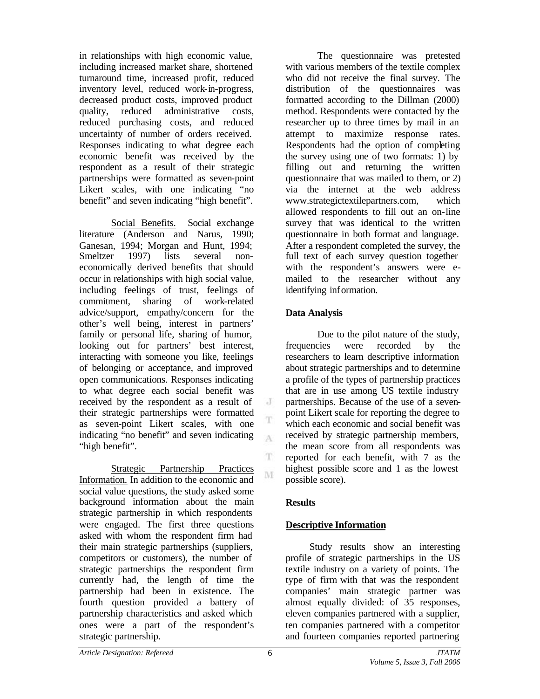in relationships with high economic value, including increased market share, shortened turnaround time, increased profit, reduced inventory level, reduced work-in-progress, decreased product costs, improved product quality, reduced administrative costs, reduced purchasing costs, and reduced uncertainty of number of orders received. Responses indicating to what degree each economic benefit was received by the respondent as a result of their strategic partnerships were formatted as seven-point Likert scales, with one indicating "no benefit" and seven indicating "high benefit".

Social Benefits. Social exchange literature (Anderson and Narus, 1990; Ganesan, 1994; Morgan and Hunt, 1994; Smeltzer 1997) lists several noneconomically derived benefits that should occur in relationships with high social value, including feelings of trust, feelings of commitment, sharing of work-related advice/support, empathy/concern for the other's well being, interest in partners' family or personal life, sharing of humor, looking out for partners' best interest, interacting with someone you like, feelings of belonging or acceptance, and improved open communications. Responses indicating to what degree each social benefit was received by the respondent as a result of their strategic partnerships were formatted as seven-point Likert scales, with one indicating "no benefit" and seven indicating "high benefit".

Strategic Partnership Practices Information. In addition to the economic and social value questions, the study asked some background information about the main strategic partnership in which respondents were engaged. The first three questions asked with whom the respondent firm had their main strategic partnerships (suppliers, competitors or customers), the number of strategic partnerships the respondent firm currently had, the length of time the partnership had been in existence. The fourth question provided a battery of partnership characteristics and asked which ones were a part of the respondent's strategic partnership.

The questionnaire was pretested with various members of the textile complex who did not receive the final survey. The distribution of the questionnaires was formatted according to the Dillman (2000) method. Respondents were contacted by the researcher up to three times by mail in an attempt to maximize response rates. Respondents had the option of completing the survey using one of two formats: 1) by filling out and returning the written questionnaire that was mailed to them, or 2) via the internet at the web address www.strategictextilepartners.com, which allowed respondents to fill out an on-line survey that was identical to the written questionnaire in both format and language. After a respondent completed the survey, the full text of each survey question together with the respondent's answers were emailed to the researcher without any identifying information.

## **Data Analysis**

Due to the pilot nature of the study, frequencies were recorded by the researchers to learn descriptive information about strategic partnerships and to determine a profile of the types of partnership practices that are in use among US textile industry partnerships. Because of the use of a sevenpoint Likert scale for reporting the degree to which each economic and social benefit was received by strategic partnership members, the mean score from all respondents was reported for each benefit, with 7 as the highest possible score and 1 as the lowest possible score).

### **Results**

# **Descriptive Information**

Study results show an interesting profile of strategic partnerships in the US textile industry on a variety of points. The type of firm with that was the respondent companies' main strategic partner was almost equally divided: of 35 responses, eleven companies partnered with a supplier, ten companies partnered with a competitor and fourteen companies reported partnering

J

T A

T M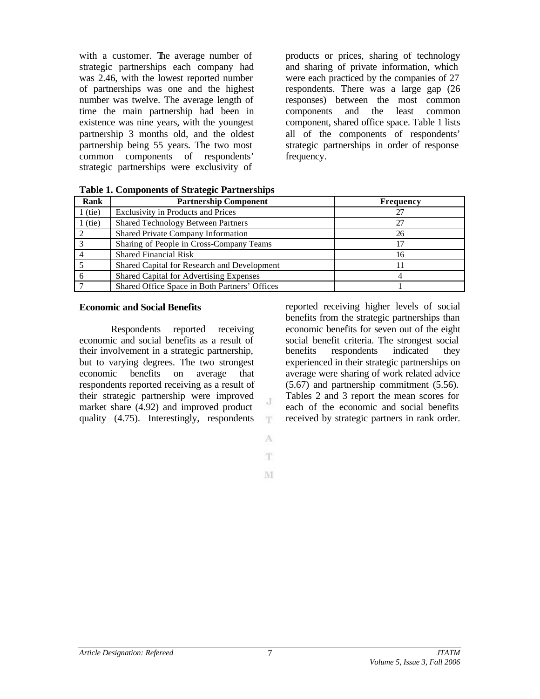with a customer. The average number of strategic partnerships each company had was 2.46, with the lowest reported number of partnerships was one and the highest number was twelve. The average length of time the main partnership had been in existence was nine years, with the youngest partnership 3 months old, and the oldest partnership being 55 years. The two most common components of respondents' strategic partnerships were exclusivity of

products or prices, sharing of technology and sharing of private information, which were each practiced by the companies of 27 respondents. There was a large gap (26 responses) between the most common components and the least common component, shared office space. Table 1 lists all of the components of respondents' strategic partnerships in order of response frequency.

| Rank  | <b>Partnership Component</b>                   | <b>Frequency</b> |
|-------|------------------------------------------------|------------------|
| (tie) | <b>Exclusivity in Products and Prices</b>      | 27               |
| (tie) | <b>Shared Technology Between Partners</b>      | 27               |
|       | Shared Private Company Information             | 26               |
|       | Sharing of People in Cross-Company Teams       |                  |
|       | <b>Shared Financial Risk</b>                   | 16               |
|       | Shared Capital for Research and Development    |                  |
|       | <b>Shared Capital for Advertising Expenses</b> |                  |
|       | Shared Office Space in Both Partners' Offices  |                  |

#### **Economic and Social Benefits**

Respondents reported receiving economic and social benefits as a result of their involvement in a strategic partnership, but to varying degrees. The two strongest economic benefits on average that respondents reported receiving as a result of their strategic partnership were improved market share (4.92) and improved product quality (4.75). Interestingly, respondents

reported receiving higher levels of social benefits from the strategic partnerships than economic benefits for seven out of the eight social benefit criteria. The strongest social benefits respondents indicated they experienced in their strategic partnerships on average were sharing of work related advice (5.67) and partnership commitment (5.56). Tables 2 and 3 report the mean scores for each of the economic and social benefits received by strategic partners in rank order.

A T.

J.

T

M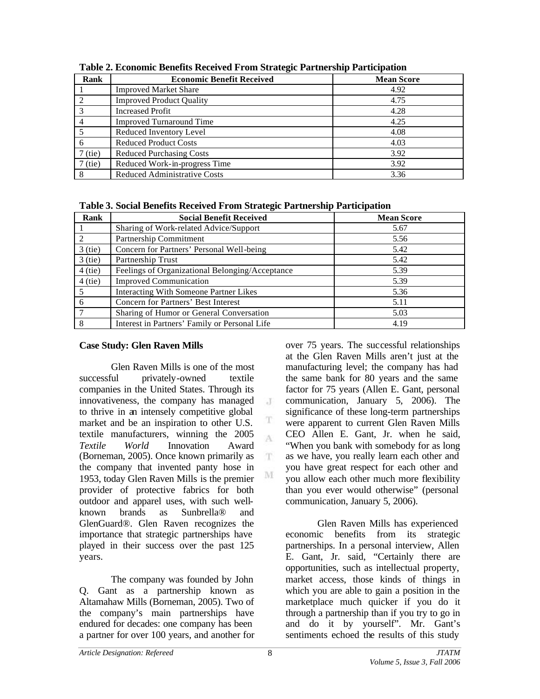| Rank      | <b>Economic Benefit Received</b>    | <b>Mean Score</b> |
|-----------|-------------------------------------|-------------------|
|           | <b>Improved Market Share</b>        | 4.92              |
|           | <b>Improved Product Quality</b>     | 4.75              |
|           | <b>Increased Profit</b>             | 4.28              |
|           | <b>Improved Turnaround Time</b>     | 4.25              |
|           | Reduced Inventory Level             | 4.08              |
| 6         | <b>Reduced Product Costs</b>        | 4.03              |
| $7$ (tie) | <b>Reduced Purchasing Costs</b>     | 3.92              |
| $7$ (tie) | Reduced Work-in-progress Time       | 3.92              |
| 8         | <b>Reduced Administrative Costs</b> | 3.36              |

**Table 2. Economic Benefits Received From Strategic Partnership Participation**

**Table 3. Social Benefits Received From Strategic Partnership Participation**

| Rank                        | <b>Social Benefit Received</b>                  | <b>Mean Score</b> |
|-----------------------------|-------------------------------------------------|-------------------|
|                             | Sharing of Work-related Advice/Support          | 5.67              |
| $\mathcal{D}_{\mathcal{A}}$ | Partnership Commitment                          | 5.56              |
| $3$ (tie)                   | Concern for Partners' Personal Well-being       | 5.42              |
| $3$ (tie)                   | Partnership Trust                               | 5.42              |
| $4$ (tie)                   | Feelings of Organizational Belonging/Acceptance | 5.39              |
| $4$ (tie)                   | <b>Improved Communication</b>                   | 5.39              |
| 5                           | Interacting With Someone Partner Likes          | 5.36              |
| 6                           | Concern for Partners' Best Interest             | 5.11              |
|                             | Sharing of Humor or General Conversation        | 5.03              |
| 8                           | Interest in Partners' Family or Personal Life   | 4.19              |

 $\cdot$ T

T A

 $\mathbf T$ 

M

# **Case Study: Glen Raven Mills**

Glen Raven Mills is one of the most successful privately-owned textile companies in the United States. Through its innovativeness, the company has managed to thrive in an intensely competitive global market and be an inspiration to other U.S. textile manufacturers, winning the 2005 *Textile World* Innovation Award (Borneman, 2005). Once known primarily as the company that invented panty hose in 1953, today Glen Raven Mills is the premier provider of protective fabrics for both outdoor and apparel uses, with such wellknown brands as Sunbrella® and GlenGuard®. Glen Raven recognizes the importance that strategic partnerships have played in their success over the past 125 years.

The company was founded by John Q. Gant as a partnership known as Altamahaw Mills (Borneman, 2005). Two of the company's main partnerships have endured for decades: one company has been a partner for over 100 years, and another for

over 75 years. The successful relationships at the Glen Raven Mills aren't just at the manufacturing level; the company has had the same bank for 80 years and the same factor for 75 years (Allen E. Gant, personal communication, January 5, 2006). The significance of these long-term partnerships were apparent to current Glen Raven Mills CEO Allen E. Gant, Jr. when he said, "When you bank with somebody for as long as we have, you really learn each other and you have great respect for each other and you allow each other much more flexibility than you ever would otherwise" (personal communication, January 5, 2006).

Glen Raven Mills has experienced economic benefits from its strategic partnerships. In a personal interview, Allen E. Gant, Jr. said, "Certainly there are opportunities, such as intellectual property, market access, those kinds of things in which you are able to gain a position in the marketplace much quicker if you do it through a partnership than if you try to go in and do it by yourself". Mr. Gant's sentiments echoed the results of this study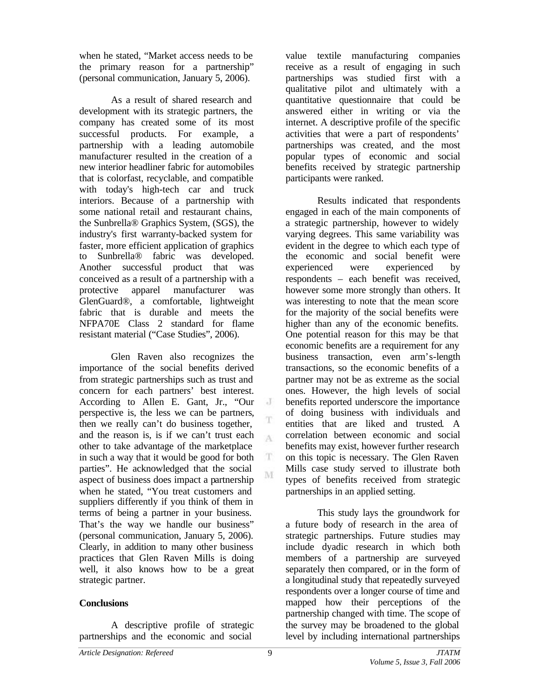when he stated, "Market access needs to be the primary reason for a partnership" (personal communication, January 5, 2006).

As a result of shared research and development with its strategic partners, the company has created some of its most successful products. For example, a partnership with a leading automobile manufacturer resulted in the creation of a new interior headliner fabric for automobiles that is colorfast, recyclable, and compatible with today's high-tech car and truck interiors. Because of a partnership with some national retail and restaurant chains, the Sunbrella® Graphics System, (SGS), the industry's first warranty-backed system for faster, more efficient application of graphics to Sunbrella® fabric was developed. Another successful product that was conceived as a result of a partnership with a protective apparel manufacturer was GlenGuard®, a comfortable, lightweight fabric that is durable and meets the NFPA70E Class 2 standard for flame resistant material ("Case Studies", 2006).

Glen Raven also recognizes the importance of the social benefits derived from strategic partnerships such as trust and concern for each partners' best interest. According to Allen E. Gant, Jr., "Our perspective is, the less we can be partners, then we really can't do business together, and the reason is, is if we can't trust each other to take advantage of the marketplace in such a way that it would be good for both parties". He acknowledged that the social aspect of business does impact a partnership when he stated, "You treat customers and suppliers differently if you think of them in terms of being a partner in your business. That's the way we handle our business" (personal communication, January 5, 2006). Clearly, in addition to many other business practices that Glen Raven Mills is doing well, it also knows how to be a great strategic partner.

### **Conclusions**

A descriptive profile of strategic partnerships and the economic and social

value textile manufacturing companies receive as a result of engaging in such partnerships was studied first with a qualitative pilot and ultimately with a quantitative questionnaire that could be answered either in writing or via the internet. A descriptive profile of the specific activities that were a part of respondents' partnerships was created, and the most popular types of economic and social benefits received by strategic partnership participants were ranked.

Results indicated that respondents engaged in each of the main components of a strategic partnership, however to widely varying degrees. This same variability was evident in the degree to which each type of the economic and social benefit were experienced were experienced by respondents – each benefit was received, however some more strongly than others. It was interesting to note that the mean score for the majority of the social benefits were higher than any of the economic benefits. One potential reason for this may be that economic benefits are a requirement for any business transaction, even arm's-length transactions, so the economic benefits of a partner may not be as extreme as the social ones. However, the high levels of social benefits reported underscore the importance of doing business with individuals and entities that are liked and trusted. A correlation between economic and social benefits may exist, however further research on this topic is necessary. The Glen Raven Mills case study served to illustrate both types of benefits received from strategic partnerships in an applied setting.

This study lays the groundwork for a future body of research in the area of strategic partnerships. Future studies may include dyadic research in which both members of a partnership are surveyed separately then compared, or in the form of a longitudinal study that repeatedly surveyed respondents over a longer course of time and mapped how their perceptions of the partnership changed with time. The scope of the survey may be broadened to the global level by including international partnerships

J

A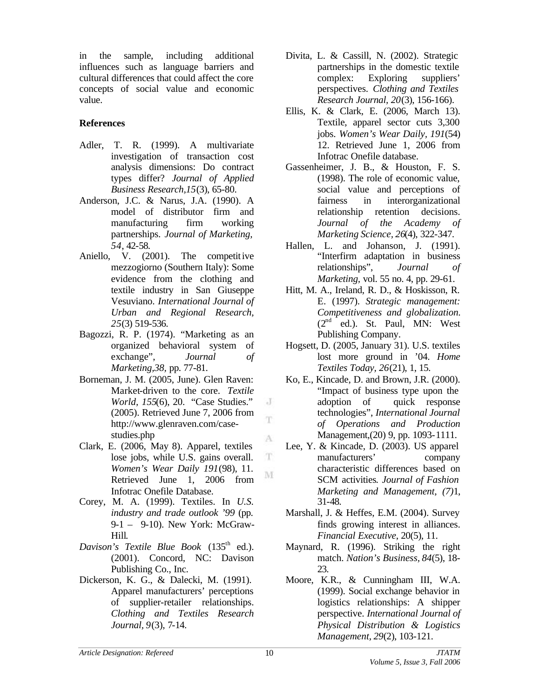in the sample, including additional influences such as language barriers and cultural differences that could affect the core concepts of social value and economic value.

## **References**

- Adler, T. R. (1999). A multivariate investigation of transaction cost analysis dimensions: Do contract types differ? *Journal of Applied Business Research,15*(3), 65-80.
- Anderson, J.C. & Narus, J.A. (1990). A model of distributor firm and manufacturing firm working partnerships. *Journal of Marketing, 54*, 42-58.
- Aniello, V. (2001). The competitive mezzogiorno (Southern Italy): Some evidence from the clothing and textile industry in San Giuseppe Vesuviano. *International Journal of Urban and Regional Research, 25*(3) 519-536.
- Bagozzi, R. P. (1974). "Marketing as an organized behavioral system of exchange", *Journal of Marketing,38,* pp. 77-81.
- Borneman, J. M. (2005, June). Glen Raven: Market-driven to the core. *Textile World, 155(6), 20. "Case Studies."* (2005). Retrieved June 7, 2006 from http://www.glenraven.com/casestudies.php
- Clark, E. (2006, May 8). Apparel, textiles lose jobs, while U.S. gains overall. *Women's Wear Daily 191*(98), 11. Retrieved June 1, 2006 from Infotrac Onefile Database.
- Corey, M. A. (1999). Textiles. In *U.S. industry and trade outlook '99* (pp. 9-1 – 9-10). New York: McGraw-Hill.
- *Davison's Textile Blue Book* (135<sup>th</sup> ed.). (2001). Concord, NC: Davison Publishing Co., Inc.
- Dickerson, K. G., & Dalecki, M. (1991). Apparel manufacturers' perceptions of supplier-retailer relationships. *Clothing and Textiles Research Journal, 9*(3), 7-14.
- Divita, L. & Cassill, N. (2002). Strategic partnerships in the domestic textile complex: Exploring suppliers' perspectives. *Clothing and Textiles Research Journal, 20*(3), 156-166).
- Ellis, K. & Clark, E. (2006, March 13). Textile, apparel sector cuts 3,300 jobs. *Women's Wear Daily, 191*(54) 12. Retrieved June 1, 2006 from Infotrac Onefile database.
- Gassenheimer, J. B., & Houston, F. S. (1998). The role of economic value, social value and perceptions of fairness in interorganizational relationship retention decisions. *Journal of the Academy of Marketing Science, 26*(4), 322-347.
- Hallen, L. and Johanson, J. (1991). "Interfirm adaptation in business relationships", *Journal of Marketing,* vol. 55 no. 4, pp. 29-61.
- Hitt, M. A., Ireland, R. D., & Hoskisson, R. E. (1997). *Strategic management: Competitiveness and globalization.*  $(2<sup>nd</sup>$  ed.). St. Paul, MN: West Publishing Company.
- Hogsett, D. (2005, January 31). U.S. textiles lost more ground in '04. *Home Textiles Today, 26*(21), 1, 15.
- Ko, E., Kincade, D. and Brown, J.R. (2000). "Impact of business type upon the adoption of quick response technologies", *International Journal of Operations and Production* Management,(20) 9, pp. 1093-1111.
- Lee, Y. & Kincade, D. (2003). US apparel manufacturers' company characteristic differences based on SCM activities*. Journal of Fashion Marketing and Management, (7)*1, 31-48.
- Marshall, J. & Heffes, E.M. (2004). Survey finds growing interest in alliances. *Financial Executive*, 20(5), 11.
- Maynard, R. (1996). Striking the right match. *Nation's Business, 84*(5), 18- 23.
- Moore, K.R., & Cunningham III, W.A. (1999). Social exchange behavior in logistics relationships: A shipper perspective. *International Journal of Physical Distribution & Logistics Management, 29*(2), 103-121.

 $\cdot$ T.

A

 $\mathbf T$ M